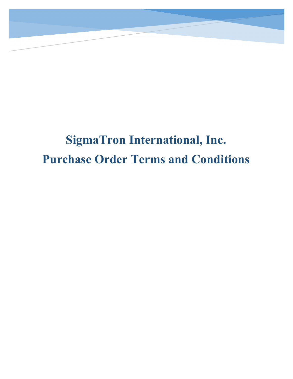

## **SigmaTron International, Inc. Purchase Order Terms and Conditions**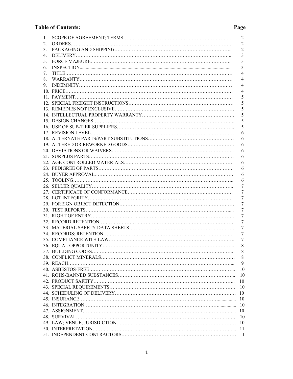## **Table of Contents: Page**

| 1. |                                                                                                                                                                                                                                                                                                                                                                                                                                                                                                                                         | $\overline{c}$ |
|----|-----------------------------------------------------------------------------------------------------------------------------------------------------------------------------------------------------------------------------------------------------------------------------------------------------------------------------------------------------------------------------------------------------------------------------------------------------------------------------------------------------------------------------------------|----------------|
| 2. |                                                                                                                                                                                                                                                                                                                                                                                                                                                                                                                                         | $\overline{2}$ |
| 3. |                                                                                                                                                                                                                                                                                                                                                                                                                                                                                                                                         | $\overline{c}$ |
| 4. |                                                                                                                                                                                                                                                                                                                                                                                                                                                                                                                                         | 3              |
| 5. |                                                                                                                                                                                                                                                                                                                                                                                                                                                                                                                                         | 3              |
| 6. |                                                                                                                                                                                                                                                                                                                                                                                                                                                                                                                                         | 3              |
| 7. |                                                                                                                                                                                                                                                                                                                                                                                                                                                                                                                                         | 4              |
| 8. |                                                                                                                                                                                                                                                                                                                                                                                                                                                                                                                                         | 4              |
| 9. | $\begin{minipage}[c]{0.9\linewidth} \textbf{INDEX} \end{minipage}[ \begin{minipage}[c]{0.9\linewidth} \textbf{INDEX} \end{minipage}[ \begin{minipage}[c]{0.9\linewidth} \textbf{INDEX} \end{minipage}[ \begin{minipage}[c]{0.9\linewidth} \textbf{INDEX} \end{minipage}[ \begin{minipage}[c]{0.9\linewidth} \textbf{query} \end{minipage}[ \begin{minipage}[c]{0.9\linewidth} \textbf{query} \end{minipage}[ \begin{minipage}[c]{0.9\linewidth} \textbf{query} \end{minipage}[ \begin{minipage}[c]{0.9\linewidth} \textbf{query} \end{$ | 4              |
|    |                                                                                                                                                                                                                                                                                                                                                                                                                                                                                                                                         | 4              |
|    |                                                                                                                                                                                                                                                                                                                                                                                                                                                                                                                                         | 5              |
|    |                                                                                                                                                                                                                                                                                                                                                                                                                                                                                                                                         | 5              |
|    |                                                                                                                                                                                                                                                                                                                                                                                                                                                                                                                                         | 5              |
|    |                                                                                                                                                                                                                                                                                                                                                                                                                                                                                                                                         | 5              |
|    |                                                                                                                                                                                                                                                                                                                                                                                                                                                                                                                                         | 5              |
|    |                                                                                                                                                                                                                                                                                                                                                                                                                                                                                                                                         | 5              |
|    |                                                                                                                                                                                                                                                                                                                                                                                                                                                                                                                                         | 6              |
|    |                                                                                                                                                                                                                                                                                                                                                                                                                                                                                                                                         | 6              |
|    |                                                                                                                                                                                                                                                                                                                                                                                                                                                                                                                                         | 6              |
|    |                                                                                                                                                                                                                                                                                                                                                                                                                                                                                                                                         | 6              |
|    |                                                                                                                                                                                                                                                                                                                                                                                                                                                                                                                                         | 6              |
|    |                                                                                                                                                                                                                                                                                                                                                                                                                                                                                                                                         | 6              |
|    |                                                                                                                                                                                                                                                                                                                                                                                                                                                                                                                                         | 6              |
|    |                                                                                                                                                                                                                                                                                                                                                                                                                                                                                                                                         | 6              |
|    |                                                                                                                                                                                                                                                                                                                                                                                                                                                                                                                                         | 6              |
|    |                                                                                                                                                                                                                                                                                                                                                                                                                                                                                                                                         | 7              |
|    |                                                                                                                                                                                                                                                                                                                                                                                                                                                                                                                                         | 7              |
|    |                                                                                                                                                                                                                                                                                                                                                                                                                                                                                                                                         | 7              |
|    |                                                                                                                                                                                                                                                                                                                                                                                                                                                                                                                                         | 7              |
|    |                                                                                                                                                                                                                                                                                                                                                                                                                                                                                                                                         | 7              |
|    |                                                                                                                                                                                                                                                                                                                                                                                                                                                                                                                                         | 7              |
|    |                                                                                                                                                                                                                                                                                                                                                                                                                                                                                                                                         | 7              |
|    |                                                                                                                                                                                                                                                                                                                                                                                                                                                                                                                                         | 7              |
|    |                                                                                                                                                                                                                                                                                                                                                                                                                                                                                                                                         | 7              |
|    |                                                                                                                                                                                                                                                                                                                                                                                                                                                                                                                                         | 7              |
|    |                                                                                                                                                                                                                                                                                                                                                                                                                                                                                                                                         | 8              |
|    |                                                                                                                                                                                                                                                                                                                                                                                                                                                                                                                                         | 8              |
|    |                                                                                                                                                                                                                                                                                                                                                                                                                                                                                                                                         | 8              |
|    |                                                                                                                                                                                                                                                                                                                                                                                                                                                                                                                                         | 9              |
|    |                                                                                                                                                                                                                                                                                                                                                                                                                                                                                                                                         | 10             |
|    |                                                                                                                                                                                                                                                                                                                                                                                                                                                                                                                                         | 10             |
|    |                                                                                                                                                                                                                                                                                                                                                                                                                                                                                                                                         | 10             |
|    |                                                                                                                                                                                                                                                                                                                                                                                                                                                                                                                                         | 10             |
|    |                                                                                                                                                                                                                                                                                                                                                                                                                                                                                                                                         | 10             |
|    |                                                                                                                                                                                                                                                                                                                                                                                                                                                                                                                                         | 10             |
|    |                                                                                                                                                                                                                                                                                                                                                                                                                                                                                                                                         | 10             |
|    |                                                                                                                                                                                                                                                                                                                                                                                                                                                                                                                                         | 10             |
|    |                                                                                                                                                                                                                                                                                                                                                                                                                                                                                                                                         | 10             |
|    |                                                                                                                                                                                                                                                                                                                                                                                                                                                                                                                                         | 10             |
|    |                                                                                                                                                                                                                                                                                                                                                                                                                                                                                                                                         | -11            |
|    |                                                                                                                                                                                                                                                                                                                                                                                                                                                                                                                                         |                |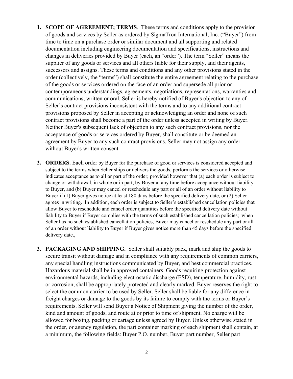- **1. SCOPE OF AGREEMENT; TERMS**. These terms and conditions apply to the provision of goods and services by Seller as ordered by SigmaTron International, Inc. ("Buyer") from time to time on a purchase order or similar document and all supporting and related documentation including engineering documentation and specifications, instructions and changes in deliveries provided by Buyer (each, an "order"). The term "Seller" means the supplier of any goods or services and all others liable for their supply, and their agents, successors and assigns. These terms and conditions and any other provisions stated in the order (collectively, the "terms") shall constitute the entire agreement relating to the purchase of the goods or services ordered on the face of an order and supersede all prior or contemporaneous understandings, agreements, negotiations, representations, warranties and communications, written or oral. Seller is hereby notified of Buyer's objection to any of Seller's contract provisions inconsistent with the terms and to any additional contract provisions proposed by Seller in accepting or acknowledging an order and none of such contract provisions shall become a part of the order unless accepted in writing by Buyer. Neither Buyer's subsequent lack of objection to any such contract provisions, nor the acceptance of goods or services ordered by Buyer, shall constitute or be deemed an agreement by Buyer to any such contract provisions. Seller may not assign any order without Buyer's written consent.
- **2. ORDERS.** Each order by Buyer for the purchase of good or services is considered accepted and subject to the terms when Seller ships or delivers the goods, performs the services or otherwise indicates acceptance as to all or part of the order; provided however that (a) each order is subject to change or withdrawal, in whole or in part, by Buyer at any time before acceptance without liability to Buyer, and (b) Buyer may cancel or reschedule any part or all of an order without liability to Buyer if (1) Buyer gives notice at least 180 days before the specified delivery date, or (2) Seller agrees in writing. In addition, each order is subject to Seller's established cancellation policies that allow Buyer to reschedule and cancel order quantities before the specified delivery date without liability to Buyer if Buyer complies with the terms of such established cancellation policies; when Seller has no such established cancellation policies, Buyer may cancel or reschedule any part or all of an order without liability to Buyer if Buyer gives notice more than 45 days before the specified delivery date.,
- **3. PACKAGING AND SHIPPING.** Seller shall suitably pack, mark and ship the goods to secure transit without damage and in compliance with any requirements of common carriers, any special handling instructions communicated by Buyer, and best commercial practices. Hazardous material shall be in approved containers. Goods requiring protection against environmental hazards, including electrostatic discharge (ESD), temperature, humidity, rust or corrosion, shall be appropriately protected and clearly marked. Buyer reserves the right to select the common carrier to be used by Seller. Seller shall be liable for any difference in freight charges or damage to the goods by its failure to comply with the terms or Buyer's requirements. Seller will send Buyer a Notice of Shipment giving the number of the order, kind and amount of goods, and route at or prior to time of shipment. No charge will be allowed for boxing, packing or cartage unless agreed by Buyer. Unless otherwise stated in the order, or agency regulation, the part container marking of each shipment shall contain, at a minimum, the following fields: Buyer P.O. number, Buyer part number, Seller part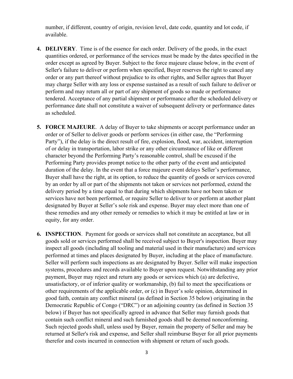number, if different, country of origin, revision level, date code, quantity and lot code, if available.

- **4. DELIVERY**. Time is of the essence for each order. Delivery of the goods, in the exact quantities ordered, or performance of the services must be made by the dates specified in the order except as agreed by Buyer. Subject to the force majeure clause below, in the event of Seller's failure to deliver or perform when specified, Buyer reserves the right to cancel any order or any part thereof without prejudice to its other rights, and Seller agrees that Buyer may charge Seller with any loss or expense sustained as a result of such failure to deliver or perform and may return all or part of any shipment of goods so made or performance tendered. Acceptance of any partial shipment or performance after the scheduled delivery or performance date shall not constitute a waiver of subsequent delivery or performance dates as scheduled.
- **5. FORCE MAJEURE**. A delay of Buyer to take shipments or accept performance under an order or of Seller to deliver goods or perform services (in either case, the "Performing Party"), if the delay is the direct result of fire, explosion, flood, war, accident, interruption of or delay in transportation, labor strike or any other circumstance of like or different character beyond the Performing Party's reasonable control, shall be excused if the Performing Party provides prompt notice to the other party of the event and anticipated duration of the delay. In the event that a force majeure event delays Seller's performance, Buyer shall have the right, at its option, to reduce the quantity of goods or services covered by an order by all or part of the shipments not taken or services not performed, extend the delivery period by a time equal to that during which shipments have not been taken or services have not been performed, or require Seller to deliver to or perform at another plant designated by Buyer at Seller's sole risk and expense. Buyer may elect more than one of these remedies and any other remedy or remedies to which it may be entitled at law or in equity, for any order.
- **6. INSPECTION**. Payment for goods or services shall not constitute an acceptance, but all goods sold or services performed shall be received subject to Buyer's inspection. Buyer may inspect all goods (including all tooling and material used in their manufacture) and services performed at times and places designated by Buyer, including at the place of manufacture. Seller will perform such inspections as are designated by Buyer. Seller will make inspection systems, procedures and records available to Buyer upon request. Notwithstanding any prior payment, Buyer may reject and return any goods or services which (a) are defective, unsatisfactory, or of inferior quality or workmanship, (b) fail to meet the specifications or other requirements of the applicable order, or (c) in Buyer's sole opinion, determined in good faith, contain any conflict mineral (as defined in Section 35 below) originating in the Democratic Republic of Congo ("DRC") or an adjoining country (as defined in Section 35 below) if Buyer has not specifically agreed in advance that Seller may furnish goods that contain such conflict mineral and such furnished goods shall be deemed nonconforming. Such rejected goods shall, unless used by Buyer, remain the property of Seller and may be returned at Seller's risk and expense, and Seller shall reimburse Buyer for all prior payments therefor and costs incurred in connection with shipment or return of such goods.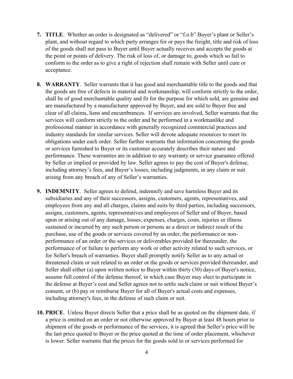- **7. TITLE**. Whether an order is designated as "delivered" or "f.o.b" Buyer's plant or Seller's plant, and without regard to which party arranges for or pays the freight, title and risk of loss of the goods shall not pass to Buyer until Buyer actually receives and accepts the goods at the point or points of delivery. The risk of loss of, or damage to, goods which so fail to conform to the order as to give a right of rejection shall remain with Seller until cure or acceptance.
- **8. WARRANTY**. Seller warrants that it has good and merchantable title to the goods and that the goods are free of defects in material and workmanship, will conform strictly to the order, shall be of good merchantable quality and fit for the purpose for which sold, are genuine and are manufactured by a manufacturer approved by Buyer, and are sold to Buyer free and clear of all claims, liens and encumbrances. If services are involved, Seller warrants that the services will conform strictly to the order and be performed in a workmanlike and professional manner in accordance with generally recognized commercial practices and industry standards for similar services. Seller will devote adequate resources to meet its obligations under each order. Seller further warrants that information concerning the goods or services furnished to Buyer or its customer accurately describes their nature and performance. These warranties are in addition to any warranty or service guarantee offered by Seller or implied or provided by law. Seller agrees to pay the cost of Buyer's defense, including attorney's fees, and Buyer's losses, including judgments, in any claim or suit arising from any breach of any of Seller's warranties.
- **9. INDEMNITY**. Seller agrees to defend, indemnify and save harmless Buyer and its subsidiaries and any of their successors, assigns, customers, agents, representatives, and employees from any and all charges, claims and suits by third parties, including successors, assigns, customers, agents, representatives and employees of Seller and of Buyer, based upon or arising out of any damage, losses, expenses, charges, costs, injuries or illness sustained or incurred by any such person or persons as a direct or indirect result of the purchase, use of the goods or services covered by an order, the performance or nonperformance of an order or the services or deliverables provided for thereunder, the performance of or failure to perform any work or other activity related to such services, or for Seller's breach of warranties. Buyer shall promptly notify Seller as to any actual or threatened claim or suit related to an order or the goods or services provided thereunder, and Seller shall either (a) upon written notice to Buyer within thirty (30) days of Buyer's notice, assume full control of the defense thereof, in which case Buyer may elect to participate in the defense at Buyer's cost and Seller agrees not to settle such claim or suit without Buyer's consent, or (b) pay or reimburse Buyer for all of Buyer's actual costs and expenses, including attorney's fees, in the defense of such claim or suit.
- **10. PRICE**. Unless Buyer directs Seller that a price shall be as quoted on the shipment date, if a price is omitted on an order or not otherwise approved by Buyer at least 48 hours prior to shipment of the goods or performance of the services, it is agreed that Seller's price will be the last price quoted to Buyer or the price quoted at the time of order placement, whichever is lower. Seller warrants that the prices for the goods sold to or services performed for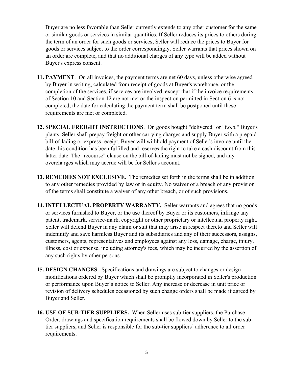Buyer are no less favorable than Seller currently extends to any other customer for the same or similar goods or services in similar quantities. If Seller reduces its prices to others during the term of an order for such goods or services, Seller will reduce the prices to Buyer for goods or services subject to the order correspondingly. Seller warrants that prices shown on an order are complete, and that no additional charges of any type will be added without Buyer's express consent.

- **11. PAYMENT**. On all invoices, the payment terms are net 60 days, unless otherwise agreed by Buyer in writing, calculated from receipt of goods at Buyer's warehouse, or the completion of the services, if services are involved, except that if the invoice requirements of Section 10 and Section 12 are not met or the inspection permitted in Section 6 is not completed, the date for calculating the payment term shall be postponed until these requirements are met or completed.
- **12. SPECIAL FREIGHT INSTRUCTIONS**. On goods bought "delivered" or "f.o.b." Buyer's plants, Seller shall prepay freight or other carrying charges and supply Buyer with a prepaid bill-of-lading or express receipt. Buyer will withhold payment of Seller's invoice until the date this condition has been fulfilled and reserves the right to take a cash discount from this latter date. The "recourse" clause on the bill-of-lading must not be signed, and any overcharges which may accrue will be for Seller's account.
- **13. REMEDIES NOT EXCLUSIVE**. The remedies set forth in the terms shall be in addition to any other remedies provided by law or in equity. No waiver of a breach of any provision of the terms shall constitute a waiver of any other breach, or of such provisions.
- **14. INTELLECTUAL PROPERTY WARRANTY.** Seller warrants and agrees that no goods or services furnished to Buyer, or the use thereof by Buyer or its customers, infringe any patent, trademark, service-mark, copyright or other proprietary or intellectual property right. Seller will defend Buyer in any claim or suit that may arise in respect thereto and Seller will indemnify and save harmless Buyer and its subsidiaries and any of their successors, assigns, customers, agents, representatives and employees against any loss, damage, charge, injury, illness, cost or expense, including attorney's fees, which may be incurred by the assertion of any such rights by other persons.
- **15. DESIGN CHANGES**. Specifications and drawings are subject to changes or design modifications ordered by Buyer which shall be promptly incorporated in Seller's production or performance upon Buyer's notice to Seller. Any increase or decrease in unit price or revision of delivery schedules occasioned by such change orders shall be made if agreed by Buyer and Seller.
- **16. USE OF SUB-TIER SUPPLIERS.** When Seller uses sub-tier suppliers, the Purchase Order, drawings and specification requirements shall be flowed down by Seller to the subtier suppliers, and Seller is responsible for the sub-tier suppliers' adherence to all order requirements.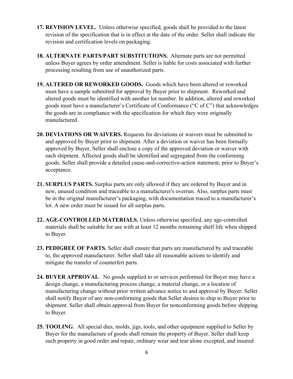- **17. REVISION LEVEL.** Unless otherwise specified, goods shall be provided to the latest revision of the specification that is in effect at the date of the order. Seller shall indicate the revision and certification levels on packaging.
- **18. ALTERNATE PARTS/PART SUBSTITUTIONS.** Alternate parts are not permitted unless Buyer agrees by order amendment. Seller is liable for costs associated with further processing resulting from use of unauthorized parts.
- **19. ALTERED OR REWORKED GOODS.** Goods which have been altered or reworked must have a sample submitted for approval by Buyer prior to shipment. Reworked and altered goods must be identified with another lot number. In addition, altered and reworked goods must have a manufacturer's Certificate of Conformance ("C of C") that acknowledges the goods are in compliance with the specification for which they were originally manufactured.
- **20. DEVIATIONS OR WAIVERS.** Requests for deviations or waivers must be submitted to and approved by Buyer prior to shipment. After a deviation or waiver has been formally approved by Buyer, Seller shall enclose a copy of the approved deviation or waiver with each shipment. Affected goods shall be identified and segregated from the conforming goods. Seller shall provide a detailed cause-and-corrective-action statement, prior to Buyer's acceptance.
- **21. SURPLUS PARTS.** Surplus parts are only allowed if they are ordered by Buyer and in new, unused condition and traceable to a manufacturer's overrun. Also, surplus parts must be in the original manufacturer's packaging, with documentation traced to a manufacturer's lot. A new order must be issued for all surplus parts.
- **22. AGE-CONTROLLED MATERIALS.** Unless otherwise specified, any age-controlled materials shall be suitable for use with at least 12 months remaining shelf life when shipped to Buyer.
- **23. PEDIGREE OF PARTS.** Seller shall ensure that parts are manufactured by and traceable to, the approved manufacturer. Seller shall take all reasonable actions to identify and mitigate the transfer of counterfeit parts.
- **24. BUYER APPROVAL**. No goods supplied to or services performed for Buyer may have a design change, a manufacturing process change, a material change, or a location of manufacturing change without prior written advance notice to and approval by Buyer. Seller shall notify Buyer of any non-conforming goods that Seller desires to ship to Buyer prior to shipment. Seller shall obtain approval from Buyer for nonconforming goods before shipping to Buyer.
- **25. TOOLING**. All special dies, molds, jigs, tools, and other equipment supplied to Seller by Buyer for the manufacture of goods shall remain the property of Buyer. Seller shall keep such property in good order and repair, ordinary wear and tear alone excepted, and insured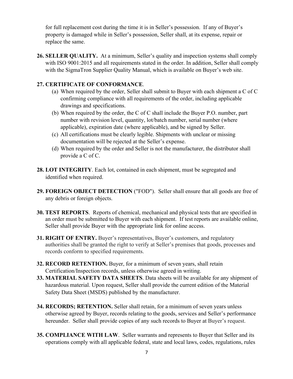for full replacement cost during the time it is in Seller's possession. If any of Buyer's property is damaged while in Seller's possession, Seller shall, at its expense, repair or replace the same.

**26. SELLER QUALITY.** At a minimum, Seller's quality and inspection systems shall comply with ISO 9001:2015 and all requirements stated in the order. In addition, Seller shall comply with the SigmaTron Supplier Quality Manual, which is available on Buyer's web site.

## **27. CERTIFICATE OF CONFORMANCE**.

- (a) When required by the order, Seller shall submit to Buyer with each shipment a C of C confirming compliance with all requirements of the order, including applicable drawings and specifications.
- (b) When required by the order, the C of C shall include the Buyer P.O. number, part number with revision level, quantity, lot/batch number, serial number (where applicable), expiration date (where applicable), and be signed by Seller.
- (c) All certifications must be clearly legible. Shipments with unclear or missing documentation will be rejected at the Seller's expense.
- (d) When required by the order and Seller is not the manufacturer, the distributor shall provide a C of C.
- **28. LOT INTEGRITY**. Each lot, contained in each shipment, must be segregated and identified when required.
- **29. FOREIGN OBJECT DETECTION** ("FOD"). Seller shall ensure that all goods are free of any debris or foreign objects.
- **30. TEST REPORTS**. Reports of chemical, mechanical and physical tests that are specified in an order must be submitted to Buyer with each shipment. If test reports are available online, Seller shall provide Buyer with the appropriate link for online access.
- **31. RIGHT OF ENTRY.** Buyer's representatives, Buyer's customers, and regulatory authorities shall be granted the right to verify at Seller's premises that goods, processes and records conform to specified requirements.
- **32. RECORD RETENTION.** Buyer, for a minimum of seven years, shall retain Certification/Inspection records, unless otherwise agreed in writing.
- **33. MATERIAL SAFETY DATA SHEETS**. Data sheets will be available for any shipment of hazardous material. Upon request, Seller shall provide the current edition of the Material Safety Data Sheet (MSDS) published by the manufacturer.
- **34. RECORDS; RETENTION.** Seller shall retain, for a minimum of seven years unless otherwise agreed by Buyer, records relating to the goods, services and Seller's performance hereunder. Seller shall provide copies of any such records to Buyer at Buyer's request.
- **35. COMPLIANCE WITH LAW**. Seller warrants and represents to Buyer that Seller and its operations comply with all applicable federal, state and local laws, codes, regulations, rules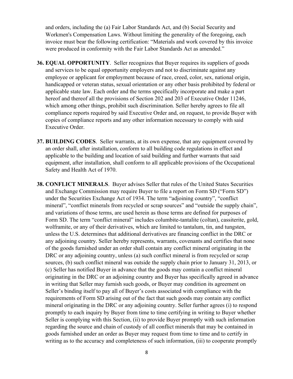and orders, including the (a) Fair Labor Standards Act, and (b) Social Security and Workmen's Compensation Laws. Without limiting the generality of the foregoing, each invoice must bear the following certification: "Materials and work covered by this invoice were produced in conformity with the Fair Labor Standards Act as amended."

- **36. EQUAL OPPORTUNITY**. Seller recognizes that Buyer requires its suppliers of goods and services to be equal opportunity employers and not to discriminate against any employee or applicant for employment because of race, creed, color, sex, national origin, handicapped or veteran status, sexual orientation or any other basis prohibited by federal or applicable state law. Each order and the terms specifically incorporate and make a part hereof and thereof all the provisions of Section 202 and 203 of Executive Order 11246, which among other things, prohibit such discrimination. Seller hereby agrees to file all compliance reports required by said Executive Order and, on request, to provide Buyer with copies of compliance reports and any other information necessary to comply with said Executive Order.
- **37. BUILDING CODES**. Seller warrants, at its own expense, that any equipment covered by an order shall, after installation, conform to all building code regulations in effect and applicable to the building and location of said building and further warrants that said equipment, after installation, shall conform to all applicable provisions of the Occupational Safety and Health Act of 1970.
- **38. CONFLICT MINERALS**. Buyer advises Seller that rules of the United States Securities and Exchange Commission may require Buyer to file a report on Form SD ("Form SD") under the Securities Exchange Act of 1934. The term "adjoining country", "conflict mineral", "conflict minerals from recycled or scrap sources" and "outside the supply chain", and variations of those terms, are used herein as those terms are defined for purposes of Form SD. The term "conflict mineral" includes columbite-tantalite (coltan), cassiterite, gold, wolframite, or any of their derivatives, which are limited to tantalum, tin, and tungsten, unless the U.S. determines that additional derivatives are financing conflict in the DRC or any adjoining country. Seller hereby represents, warrants, covenants and certifies that none of the goods furnished under an order shall contain any conflict mineral originating in the DRC or any adjoining country, unless (a) such conflict mineral is from recycled or scrap sources, (b) such conflict mineral was outside the supply chain prior to January 31, 2013, or (c) Seller has notified Buyer in advance that the goods may contain a conflict mineral originating in the DRC or an adjoining country and Buyer has specifically agreed in advance in writing that Seller may furnish such goods, or Buyer may condition its agreement on Seller's binding itself to pay all of Buyer's costs associated with compliance with the requirements of Form SD arising out of the fact that such goods may contain any conflict mineral originating in the DRC or any adjoining country. Seller further agrees (i) to respond promptly to each inquiry by Buyer from time to time certifying in writing to Buyer whether Seller is complying with this Section, (ii) to provide Buyer promptly with such information regarding the source and chain of custody of all conflict minerals that may be contained in goods furnished under an order as Buyer may request from time to time and to certify in writing as to the accuracy and completeness of such information, (iii) to cooperate promptly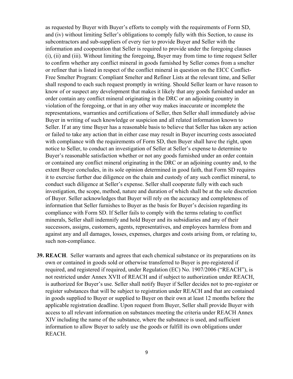as requested by Buyer with Buyer's efforts to comply with the requirements of Form SD, and (iv) without limiting Seller's obligations to comply fully with this Section, to cause its subcontractors and sub-suppliers of every tier to provide Buyer and Seller with the information and cooperation that Seller is required to provide under the foregoing clauses (i), (ii) and (iii). Without limiting the foregoing, Buyer may from time to time request Seller to confirm whether any conflict mineral in goods furnished by Seller comes from a smelter or refiner that is listed in respect of the conflict mineral in question on the EICC Conflict-Free Smelter Program: Compliant Smelter and Refiner Lists at the relevant time, and Seller shall respond to each such request promptly in writing. Should Seller learn or have reason to know of or suspect any development that makes it likely that any goods furnished under an order contain any conflict mineral originating in the DRC or an adjoining country in violation of the foregoing, or that in any other way makes inaccurate or incomplete the representations, warranties and certifications of Seller, then Seller shall immediately advise Buyer in writing of such knowledge or suspicion and all related information known to Seller. If at any time Buyer has a reasonable basis to believe that Seller has taken any action or failed to take any action that in either case may result in Buyer incurring costs associated with compliance with the requirements of Form SD, then Buyer shall have the right, upon notice to Seller, to conduct an investigation of Seller at Seller's expense to determine to Buyer's reasonable satisfaction whether or not any goods furnished under an order contain or contained any conflict mineral originating in the DRC or an adjoining country and, to the extent Buyer concludes, in its sole opinion determined in good faith, that Form SD requires it to exercise further due diligence on the chain and custody of any such conflict mineral, to conduct such diligence at Seller's expense. Seller shall cooperate fully with each such investigation, the scope, method, nature and duration of which shall be at the sole discretion of Buyer. Seller acknowledges that Buyer will rely on the accuracy and completeness of information that Seller furnishes to Buyer as the basis for Buyer's decision regarding its compliance with Form SD. If Seller fails to comply with the terms relating to conflict minerals, Seller shall indemnify and hold Buyer and its subsidiaries and any of their successors, assigns, customers, agents, representatives, and employees harmless from and against any and all damages, losses, expenses, charges and costs arising from, or relating to, such non-compliance.

**39. REACH**. Seller warrants and agrees that each chemical substance or its preparations on its own or contained in goods sold or otherwise transferred to Buyer is pre-registered if required, and registered if required, under Regulation (EC) No. 1907/2006 ("REACH"), is not restricted under Annex XVII of REACH and if subject to authorization under REACH, is authorized for Buyer's use. Seller shall notify Buyer if Seller decides not to pre-register or register substances that will be subject to registration under REACH and that are contained in goods supplied to Buyer or supplied to Buyer on their own at least 12 months before the applicable registration deadline. Upon request from Buyer, Seller shall provide Buyer with access to all relevant information on substances meeting the criteria under REACH Annex XIV including the name of the substance, where the substance is used, and sufficient information to allow Buyer to safely use the goods or fulfill its own obligations under REACH.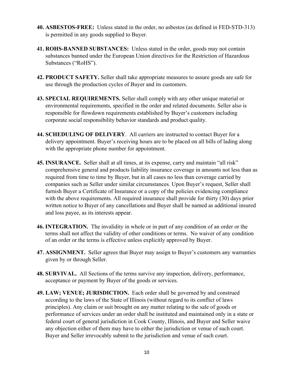- **40. ASBESTOS-FREE:** Unless stated in the order, no asbestos (as defined in FED-STD-313) is permitted in any goods supplied to Buyer.
- **41. ROHS-BANNED SUBSTANCES:** Unless stated in the order, goods may not contain substances banned under the European Union directives for the Restriction of Hazardous Substances ("RoHS").
- **42. PRODUCT SAFETY.** Seller shall take appropriate measures to assure goods are safe for use through the production cycles of Buyer and its customers.
- **43. SPECIAL REQUIREMENTS.** Seller shall comply with any other unique material or environmental requirements, specified in the order and related documents. Seller also is responsible for flowdown requirements established by Buyer's customers including corporate social responsibility behavior standards and product quality.
- **44. SCHEDULING OF DELIVERY**. All carriers are instructed to contact Buyer for a delivery appointment. Buyer's receiving hours are to be placed on all bills of lading along with the appropriate phone number for appointment.
- **45. INSURANCE.** Seller shall at all times, at its expense, carry and maintain "all risk" comprehensive general and products liability insurance coverage in amounts not less than as required from time to time by Buyer, but in all cases no less than coverage carried by companies such as Seller under similar circumstances. Upon Buyer's request, Seller shall furnish Buyer a Certificate of Insurance or a copy of the policies evidencing compliance with the above requirements. All required insurance shall provide for thirty (30) days prior written notice to Buyer of any cancellations and Buyer shall be named as additional insured and loss payee, as its interests appear.
- **46. INTEGRATION.** The invalidity in whole or in part of any condition of an order or the terms shall not affect the validity of other conditions or terms. No waiver of any condition of an order or the terms is effective unless explicitly approved by Buyer.
- **47. ASSIGNMENT.** Seller agrees that Buyer may assign to Buyer's customers any warranties given by or through Seller.
- **48. SURVIVAL.** All Sections of the terms survive any inspection, delivery, performance, acceptance or payment by Buyer of the goods or services.
- **49. LAW; VENUE; JURISDICTION.** Each order shall be governed by and construed according to the laws of the State of Illinois (without regard to its conflict of laws principles). Any claim or suit brought on any matter relating to the sale of goods or performance of services under an order shall be instituted and maintained only in a state or federal court of general jurisdiction in Cook County, Illinois, and Buyer and Seller waive any objection either of them may have to either the jurisdiction or venue of such court. Buyer and Seller irrevocably submit to the jurisdiction and venue of such court.